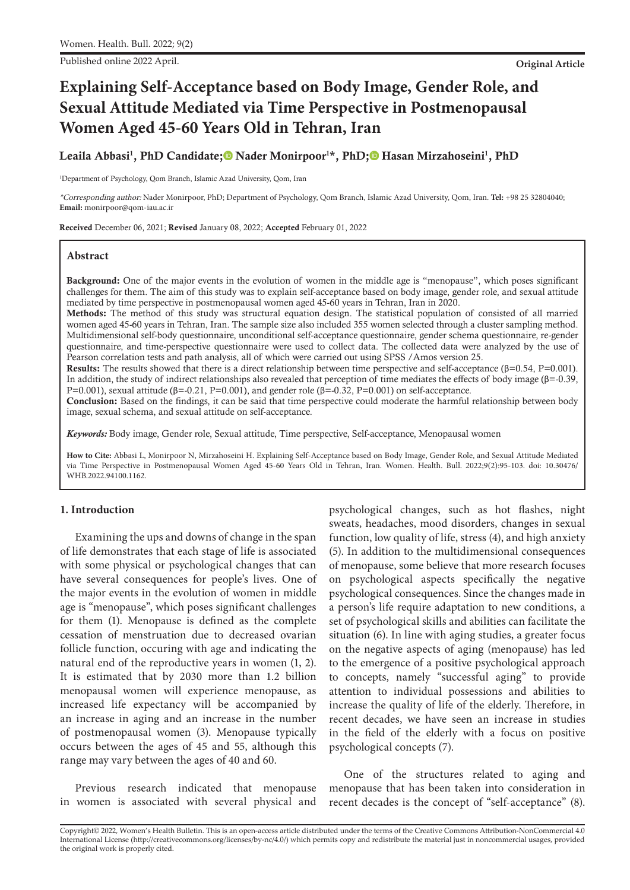Published online 2022 April. **Original Article**

# **Explaining Self-Acceptance based on Body Image, Gender Role, and Sexual Attitude Mediated via Time Perspective in Postmenopausal Women Aged 45-60 Years Old in Tehran, Iran**

# Leaila Abbasi<sup>1</sup>, PhD Candidate;® Nader Monirpoor<sup>1\*</sup>, PhD;® Hasan Mirzahoseini<sup>1</sup>, PhD

<sup>1</sup>Department of Psychology, Qom Branch, Islamic Azad University, Qom, Iran

\*Corresponding author: Nader Monirpoor, PhD; Department of Psychology, Qom Branch, Islamic Azad University, Qom, Iran. **Tel:** +98 25 32804040; **Email:** monirpoor@qom-iau.ac.ir

Received December 06, 2021; Revised January 08, 2022; Accepted February 01, 2022

#### **Abstract**

Background: One of the major events in the evolution of women in the middle age is "menopause", which poses significant challenges for them. The aim of this study was to explain self-acceptance based on body image, gender role, and sexual attitude mediated by time perspective in postmenopausal women aged 45-60 years in Tehran, Iran in 2020.

Methods: The method of this study was structural equation design. The statistical population of consisted of all married women aged 45-60 years in Tehran, Iran. The sample size also included 355 women selected through a cluster sampling method. Multidimensional self-body questionnaire, unconditional self-acceptance questionnaire, gender schema questionnaire, re-gender questionnaire, and time-perspective questionnaire were used to collect data. The collected data were analyzed by the use of Pearson correlation tests and path analysis, all of which were carried out using SPSS /Amos version 25.

Results: The results showed that there is a direct relationship between time perspective and self-acceptance ( $\beta$ =0.54, P=0.001). In addition, the study of indirect relationships also revealed that perception of time mediates the effects of body image (β=-0.39, P=0.001), sexual attitude ( $\beta$ =-0.21, P=0.001), and gender role ( $\beta$ =-0.32, P=0.001) on self-acceptance.

Conclusion: Based on the findings, it can be said that time perspective could moderate the harmful relationship between body image, sexual schema, and sexual attitude on self-acceptance.

*Keywords:* Body image, Gender role, Sexual attitude, Time perspective, Self-acceptance, Menopausal women

**How to Cite:** Abbasi L, Monirpoor N, Mirzahoseini H. Explaining Self-Acceptance based on Body Image, Gender Role, and Sexual Attitude Mediated via Time Perspective in Postmenopausal Women Aged 45-60 Years Old in Tehran, Iran. Women. Health. Bull. 2022;9(2):95-103. doi: 10.30476/ WHB.2022.94100.1162.

#### **1. Introduction**

Examining the ups and downs of change in the span of life demonstrates that each stage of life is associated with some physical or psychological changes that can have several consequences for people's lives. One of the major events in the evolution of women in middle age is "menopause", which poses significant challenges for them (1). Menopause is defined as the complete cessation of menstruation due to decreased ovarian follicle function, occuring with age and indicating the natural end of the reproductive years in women (1, 2). It is estimated that by 2030 more than 1.2 billion menopausal women will experience menopause, as increased life expectancy will be accompanied by an increase in aging and an increase in the number of postmenopausal women (3). Menopause typically occurs between the ages of 45 and 55, although this range may vary between the ages of 40 and 60.

Previous research indicated that menopause in women is associated with several physical and psychological changes, such as hot flashes, night sweats, headaches, mood disorders, changes in sexual function, low quality of life, stress (4), and high anxiety (5). In addition to the multidimensional consequences of menopause, some believe that more research focuses on psychological aspects specifically the negative psychological consequences. Since the changes made in a person's life require adaptation to new conditions, a set of psychological skills and abilities can facilitate the situation (6). In line with aging studies, a greater focus on the negative aspects of aging (menopause) has led to the emergence of a positive psychological approach to concepts, namely "successful aging" to provide attention to individual possessions and abilities to increase the quality of life of the elderly. Therefore, in recent decades, we have seen an increase in studies in the field of the elderly with a focus on positive psychological concepts (7).

One of the structures related to aging and menopause that has been taken into consideration in recent decades is the concept of "self-acceptance" (8).

Copyright© 2022, Women's Health Bulletin. This is an open-access article distributed under the terms of the Creative Commons Attribution-NonCommercial 4.0 International License (http://creativecommons.org/licenses/by-nc/4.0/) which permits copy and redistribute the material just in noncommercial usages, provided the original work is properly cited.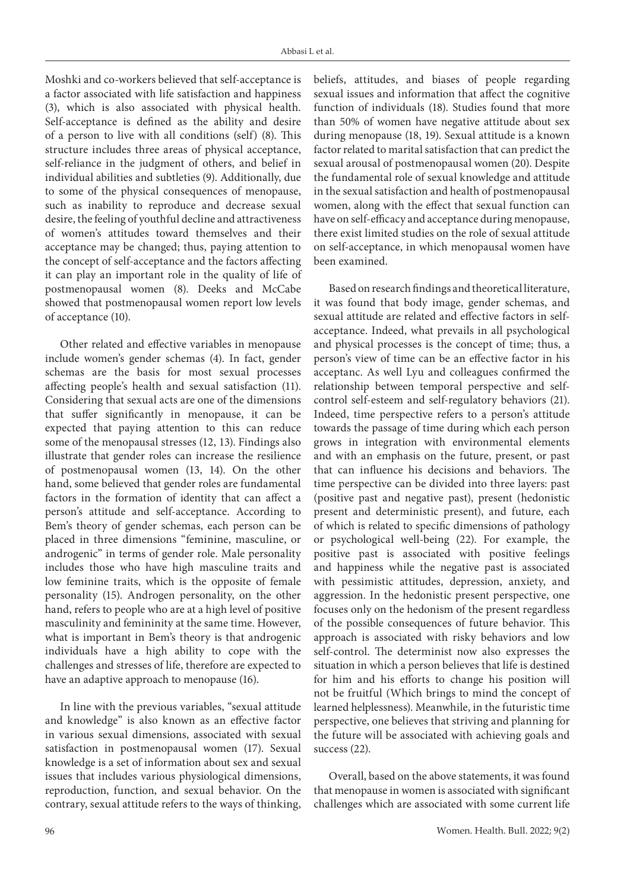Moshki and co-workers believed that self-acceptance is a factor associated with life satisfaction and happiness (3), which is also associated with physical health. Self-acceptance is defined as the ability and desire of a person to live with all conditions (self) (8). This structure includes three areas of physical acceptance, self-reliance in the judgment of others, and belief in individual abilities and subtleties (9). Additionally, due to some of the physical consequences of menopause, such as inability to reproduce and decrease sexual desire, the feeling of youthful decline and attractiveness of women's attitudes toward themselves and their acceptance may be changed; thus, paying attention to the concept of self-acceptance and the factors affecting it can play an important role in the quality of life of postmenopausal women (8). Deeks and McCabe showed that postmenopausal women report low levels of acceptance (10).

Other related and effective variables in menopause include women's gender schemas (4). In fact, gender schemas are the basis for most sexual processes affecting people's health and sexual satisfaction (11). Considering that sexual acts are one of the dimensions that suffer significantly in menopause, it can be expected that paying attention to this can reduce some of the menopausal stresses (12, 13). Findings also illustrate that gender roles can increase the resilience of postmenopausal women (13, 14). On the other hand, some believed that gender roles are fundamental factors in the formation of identity that can affect a person's attitude and self-acceptance. According to Bem's theory of gender schemas, each person can be placed in three dimensions "feminine, masculine, or androgenic" in terms of gender role. Male personality includes those who have high masculine traits and low feminine traits, which is the opposite of female personality (15). Androgen personality, on the other hand, refers to people who are at a high level of positive masculinity and femininity at the same time. However, what is important in Bem's theory is that androgenic individuals have a high ability to cope with the challenges and stresses of life, therefore are expected to have an adaptive approach to menopause (16).

In line with the previous variables, "sexual attitude and knowledge" is also known as an effective factor in various sexual dimensions, associated with sexual satisfaction in postmenopausal women (17). Sexual knowledge is a set of information about sex and sexual issues that includes various physiological dimensions, reproduction, function, and sexual behavior. On the contrary, sexual attitude refers to the ways of thinking,

beliefs, attitudes, and biases of people regarding sexual issues and information that affect the cognitive function of individuals (18). Studies found that more than 50% of women have negative attitude about sex during menopause (18, 19). Sexual attitude is a known factor related to marital satisfaction that can predict the sexual arousal of postmenopausal women (20). Despite the fundamental role of sexual knowledge and attitude in the sexual satisfaction and health of postmenopausal women, along with the effect that sexual function can have on self-efficacy and acceptance during menopause, there exist limited studies on the role of sexual attitude on self-acceptance, in which menopausal women have been examined.

Based on research findings and theoretical literature, it was found that body image, gender schemas, and sexual attitude are related and effective factors in selfacceptance. Indeed, what prevails in all psychological and physical processes is the concept of time; thus, a person's view of time can be an effective factor in his acceptanc. As well Lyu and colleagues confirmed the relationship between temporal perspective and selfcontrol self-esteem and self-regulatory behaviors (21). Indeed, time perspective refers to a person's attitude towards the passage of time during which each person grows in integration with environmental elements and with an emphasis on the future, present, or past that can influence his decisions and behaviors. The time perspective can be divided into three layers: past (positive past and negative past), present (hedonistic present and deterministic present), and future, each of which is related to specific dimensions of pathology or psychological well-being (22). For example, the positive past is associated with positive feelings and happiness while the negative past is associated with pessimistic attitudes, depression, anxiety, and aggression. In the hedonistic present perspective, one focuses only on the hedonism of the present regardless of the possible consequences of future behavior. This approach is associated with risky behaviors and low self-control. The determinist now also expresses the situation in which a person believes that life is destined for him and his efforts to change his position will not be fruitful (Which brings to mind the concept of learned helplessness). Meanwhile, in the futuristic time perspective, one believes that striving and planning for the future will be associated with achieving goals and success (22).

Overall, based on the above statements, it was found that menopause in women is associated with significant challenges which are associated with some current life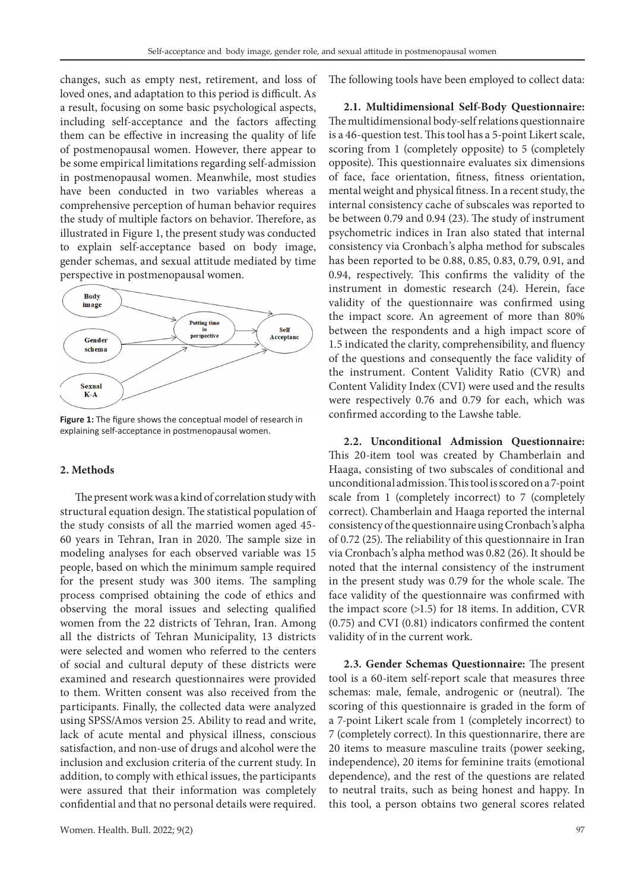changes, such as empty nest, retirement, and loss of loved ones, and adaptation to this period is difficult. As a result, focusing on some basic psychological aspects, including self-acceptance and the factors affecting them can be effective in increasing the quality of life of postmenopausal women. However, there appear to be some empirical limitations regarding self-admission in postmenopausal women. Meanwhile, most studies have been conducted in two variables whereas a comprehensive perception of human behavior requires the study of multiple factors on behavior. Therefore, as illustrated in Figure 1, the present study was conducted to explain self-acceptance based on body image, gender schemas, and sexual attitude mediated by time perspective in postmenopausal women.



**Figure 1:** The figure shows the conceptual model of research in explaining self-acceptance in postmenopausal women.

#### **2. Methods**

The present work was a kind of correlation study with structural equation design. The statistical population of the study consists of all the married women aged 45- 60 years in Tehran, Iran in 2020. The sample size in modeling analyses for each observed variable was 15 people, based on which the minimum sample required for the present study was 300 items. The sampling process comprised obtaining the code of ethics and observing the moral issues and selecting qualified women from the 22 districts of Tehran, Iran. Among all the districts of Tehran Municipality, 13 districts were selected and women who referred to the centers of social and cultural deputy of these districts were examined and research questionnaires were provided to them. Written consent was also received from the participants. Finally, the collected data were analyzed using SPSS/Amos version 25. Ability to read and write, lack of acute mental and physical illness, conscious satisfaction, and non-use of drugs and alcohol were the inclusion and exclusion criteria of the current study. In addition, to comply with ethical issues, the participants were assured that their information was completely confidential and that no personal details were required.

The following tools have been employed to collect data:

**2.1. Multidimensional Self-Body Questionnaire:** The multidimensional body-self relations questionnaire is a 46-question test. This tool has a 5-point Likert scale, scoring from 1 (completely opposite) to 5 (completely opposite). This questionnaire evaluates six dimensions of face, face orientation, fitness, fitness orientation, mental weight and physical fitness. In a recent study, the internal consistency cache of subscales was reported to be between 0.79 and 0.94 (23). The study of instrument psychometric indices in Iran also stated that internal consistency via Cronbach's alpha method for subscales has been reported to be 0.88, 0.85, 0.83, 0.79, 0.91, and 0.94, respectively. This confirms the validity of the instrument in domestic research (24). Herein, face validity of the questionnaire was confirmed using the impact score. An agreement of more than 80% between the respondents and a high impact score of 1.5 indicated the clarity, comprehensibility, and fluency of the questions and consequently the face validity of the instrument. Content Validity Ratio (CVR) and Content Validity Index (CVI) were used and the results were respectively 0.76 and 0.79 for each, which was confirmed according to the Lawshe table.

**2.2. Unconditional Admission Questionnaire:**  This 20-item tool was created by Chamberlain and Haaga, consisting of two subscales of conditional and unconditional admission. This tool is scored on a 7-point scale from 1 (completely incorrect) to 7 (completely correct). Chamberlain and Haaga reported the internal consistency of the questionnaire using Cronbach's alpha of 0.72 (25). The reliability of this questionnaire in Iran via Cronbach's alpha method was 0.82 (26). It should be noted that the internal consistency of the instrument in the present study was 0.79 for the whole scale. The face validity of the questionnaire was confirmed with the impact score (>1.5) for 18 items. In addition, CVR (0.75) and CVI (0.81) indicators confirmed the content validity of in the current work.

**2.3. Gender Schemas Questionnaire:** The present tool is a 60-item self-report scale that measures three schemas: male, female, androgenic or (neutral). The scoring of this questionnaire is graded in the form of a 7-point Likert scale from 1 (completely incorrect) to 7 (completely correct). In this questionnarire, there are 20 items to measure masculine traits (power seeking, independence), 20 items for feminine traits (emotional dependence), and the rest of the questions are related to neutral traits, such as being honest and happy. In this tool, a person obtains two general scores related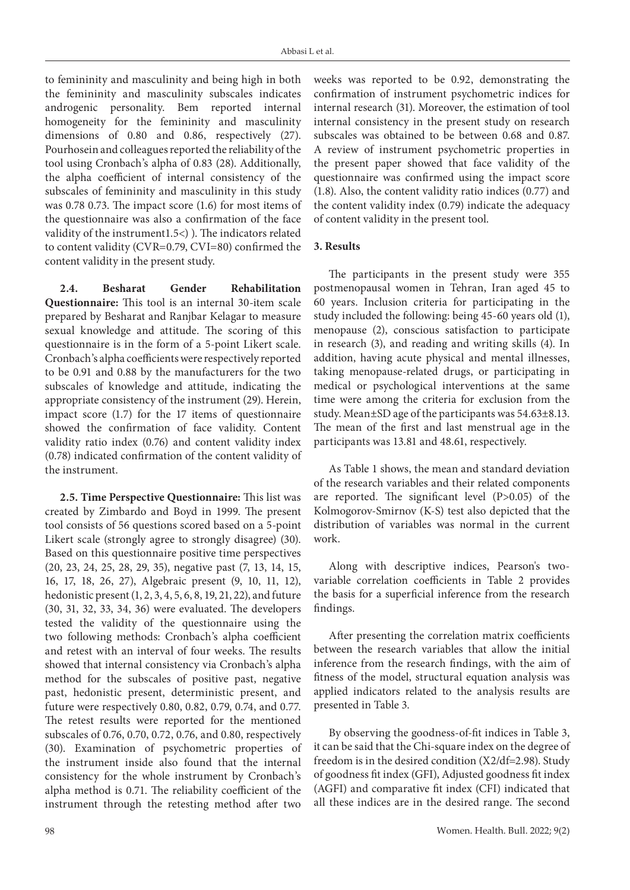to femininity and masculinity and being high in both the femininity and masculinity subscales indicates androgenic personality. Bem reported internal homogeneity for the femininity and masculinity dimensions of 0.80 and 0.86, respectively (27). Pourhosein and colleagues reported the reliability of the tool using Cronbach's alpha of 0.83 (28). Additionally, the alpha coefficient of internal consistency of the subscales of femininity and masculinity in this study was 0.78 0.73. The impact score (1.6) for most items of the questionnaire was also a confirmation of the face validity of the instrument1.5<) ). The indicators related to content validity (CVR=0.79, CVI=80) confirmed the content validity in the present study.

**2.4. Besharat Gender Rehabilitation Questionnaire:** This tool is an internal 30-item scale prepared by Besharat and Ranjbar Kelagar to measure sexual knowledge and attitude. The scoring of this questionnaire is in the form of a 5-point Likert scale. Cronbach's alpha coefficients were respectively reported to be 0.91 and 0.88 by the manufacturers for the two subscales of knowledge and attitude, indicating the appropriate consistency of the instrument (29). Herein, impact score (1.7) for the 17 items of questionnaire showed the confirmation of face validity. Content validity ratio index (0.76) and content validity index (0.78) indicated confirmation of the content validity of the instrument.

**2.5. Time Perspective Questionnaire:** This list was created by Zimbardo and Boyd in 1999. The present tool consists of 56 questions scored based on a 5-point Likert scale (strongly agree to strongly disagree) (30). Based on this questionnaire positive time perspectives (20, 23, 24, 25, 28, 29, 35), negative past (7, 13, 14, 15, 16, 17, 18, 26, 27), Algebraic present (9, 10, 11, 12), hedonistic present (1, 2, 3, 4, 5, 6, 8, 19, 21, 22), and future (30, 31, 32, 33, 34, 36) were evaluated. The developers tested the validity of the questionnaire using the two following methods: Cronbach's alpha coefficient and retest with an interval of four weeks. The results showed that internal consistency via Cronbach's alpha method for the subscales of positive past, negative past, hedonistic present, deterministic present, and future were respectively 0.80, 0.82, 0.79, 0.74, and 0.77. The retest results were reported for the mentioned subscales of 0.76, 0.70, 0.72, 0.76, and 0.80, respectively (30). Examination of psychometric properties of the instrument inside also found that the internal consistency for the whole instrument by Cronbach's alpha method is 0.71. The reliability coefficient of the instrument through the retesting method after two

weeks was reported to be 0.92, demonstrating the confirmation of instrument psychometric indices for internal research (31). Moreover, the estimation of tool internal consistency in the present study on research subscales was obtained to be between 0.68 and 0.87. A review of instrument psychometric properties in the present paper showed that face validity of the questionnaire was confirmed using the impact score (1.8). Also, the content validity ratio indices (0.77) and the content validity index (0.79) indicate the adequacy of content validity in the present tool.

#### **3. Results**

The participants in the present study were 355 postmenopausal women in Tehran, Iran aged 45 to 60 years. Inclusion criteria for participating in the study included the following: being 45-60 years old (1), menopause (2), conscious satisfaction to participate in research (3), and reading and writing skills (4). In addition, having acute physical and mental illnesses, taking menopause-related drugs, or participating in medical or psychological interventions at the same time were among the criteria for exclusion from the study. Mean±SD age of the participants was 54.63±8.13. The mean of the first and last menstrual age in the participants was 13.81 and 48.61, respectively.

As Table 1 shows, the mean and standard deviation of the research variables and their related components are reported. The significant level (P>0.05) of the Kolmogorov-Smirnov (K-S) test also depicted that the distribution of variables was normal in the current work.

Along with descriptive indices, Pearson's twovariable correlation coefficients in Table 2 provides the basis for a superficial inference from the research findings.

After presenting the correlation matrix coefficients between the research variables that allow the initial inference from the research findings, with the aim of fitness of the model, structural equation analysis was applied indicators related to the analysis results are presented in Table 3.

By observing the goodness-of-fit indices in Table 3, it can be said that the Chi-square index on the degree of freedom is in the desired condition (X2/df=2.98). Study of goodness fit index (GFI), Adjusted goodness fit index (AGFI) and comparative fit index (CFI) indicated that all these indices are in the desired range. The second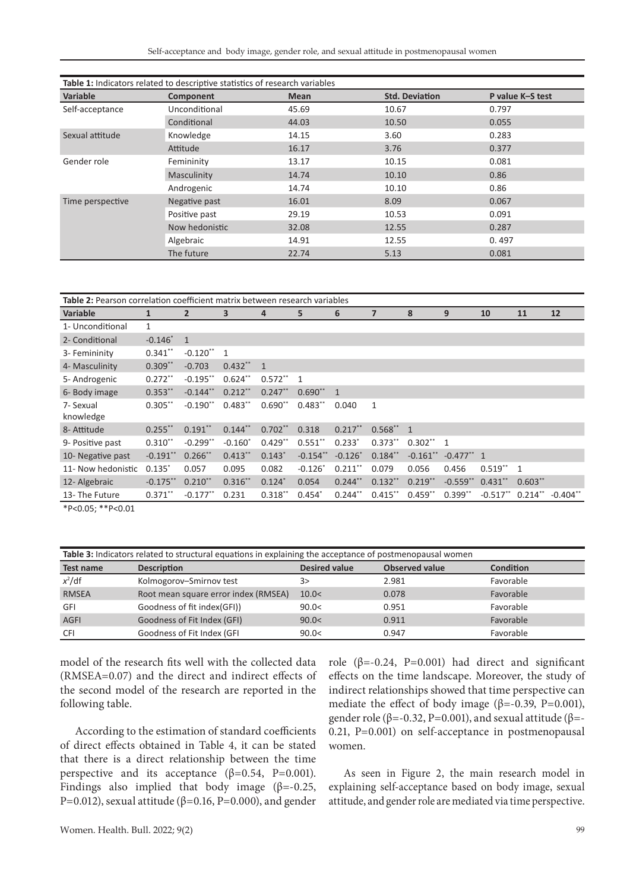Self-acceptance and body image, gender role, and sexual attitude in postmenopausal women

| <b>Table 1:</b> Indicators related to descriptive statistics of research variables |                |             |                       |                  |  |  |  |  |
|------------------------------------------------------------------------------------|----------------|-------------|-----------------------|------------------|--|--|--|--|
| Variable                                                                           | Component      | <b>Mean</b> | <b>Std. Deviation</b> | P value K-S test |  |  |  |  |
| Self-acceptance                                                                    | Unconditional  | 45.69       | 10.67                 | 0.797            |  |  |  |  |
|                                                                                    | Conditional    | 44.03       | 10.50                 | 0.055            |  |  |  |  |
| Sexual attitude                                                                    | Knowledge      | 14.15       | 3.60                  | 0.283            |  |  |  |  |
|                                                                                    | Attitude       | 16.17       | 3.76                  | 0.377            |  |  |  |  |
| Gender role                                                                        | Femininity     | 13.17       | 10.15                 | 0.081            |  |  |  |  |
|                                                                                    | Masculinity    | 14.74       | 10.10                 | 0.86             |  |  |  |  |
|                                                                                    | Androgenic     | 14.74       | 10.10                 | 0.86             |  |  |  |  |
| Time perspective                                                                   | Negative past  | 16.01       | 8.09                  | 0.067            |  |  |  |  |
|                                                                                    | Positive past  | 29.19       | 10.53                 | 0.091            |  |  |  |  |
|                                                                                    | Now hedonistic | 32.08       | 12.55                 | 0.287            |  |  |  |  |
|                                                                                    | Algebraic      | 14.91       | 12.55                 | 0.497            |  |  |  |  |
|                                                                                    | The future     | 22.74       | 5.13                  | 0.081            |  |  |  |  |

| Table 2: Pearson correlation coefficient matrix between research variables |              |                        |                |           |                |                |                |                        |                          |             |                |                        |
|----------------------------------------------------------------------------|--------------|------------------------|----------------|-----------|----------------|----------------|----------------|------------------------|--------------------------|-------------|----------------|------------------------|
| <b>Variable</b>                                                            | $\mathbf{1}$ | $\overline{2}$         | 3              | 4         | 5              | 6              | $\overline{7}$ | 8                      | 9                        | 10          | 11             | 12                     |
| 1- Unconditional                                                           | 1            |                        |                |           |                |                |                |                        |                          |             |                |                        |
| 2- Conditional                                                             | $-0.146*$    | $\overline{1}$         |                |           |                |                |                |                        |                          |             |                |                        |
| 3- Femininity                                                              | $0.341**$    | $-0.120$ **            | $\overline{1}$ |           |                |                |                |                        |                          |             |                |                        |
| 4- Masculinity                                                             | $0.309**$    | $-0.703$               | $0.432**1$     |           |                |                |                |                        |                          |             |                |                        |
| 5- Androgenic                                                              | $0.272**$    | $-0.195**$             | $0.624**$      | $0.572**$ | $\overline{1}$ |                |                |                        |                          |             |                |                        |
| 6- Body image                                                              | $0.353**$    | $-0.144$ <sup>**</sup> | $0.212**$      | $0.247**$ | $0.690**$      | $\overline{1}$ |                |                        |                          |             |                |                        |
| 7- Sexual<br>knowledge                                                     | $0.305**$    | $-0.190**$             | $0.483**$      | $0.690**$ | $0.483**$      | 0.040          | 1              |                        |                          |             |                |                        |
| 8- Attitude                                                                | $0.255$ **   | $0.191**$              | $0.144***$     | $0.702**$ | 0.318          | $0.217**$      | $0.568^{**}$ 1 |                        |                          |             |                |                        |
| 9- Positive past                                                           | $0.310**$    | $-0.299**$             | $-0.160^*$     | $0.429**$ | $0.551$ **     | $0.233*$       | $0.373**$      | $0.302**1$             |                          |             |                |                        |
| 10- Negative past                                                          | $-0.191$ **  | $0.266$ **             | $0.413**$      | $0.143*$  | $-0.154$ **    | $-0.126*$      | $0.184**$      | $-0.161$ <sup>**</sup> | $-0.477$ <sup>**</sup> 1 |             |                |                        |
| 11- Now hedonistic                                                         | $0.135*$     | 0.057                  | 0.095          | 0.082     | $-0.126*$      | $0.211**$      | 0.079          | 0.056                  | 0.456                    | $0.519**$   | $\overline{1}$ |                        |
| 12- Algebraic                                                              | $-0.175**$   | $0.210**$              | $0.316***$     | $0.124*$  | 0.054          | $0.244**$      | $0.132**$      | $0.219**$              | $-0.559$ ** $0.431$ **   |             | $0.603**$      |                        |
| 13- The Future                                                             | $0.371$ **   | $-0.177$ **            | 0.231          | $0.318**$ | $0.454*$       | $0.244**$      | $0.415***$     | $0.459**$              | $0.399**$                | $-0.517$ ** | $0.214**$      | $-0.404$ <sup>**</sup> |
| $*D, O, C, **D, O, O1$                                                     |              |                        |                |           |                |                |                |                        |                          |             |                |                        |

\*P<0.05; \*\*P<0.01

| Table 3: Indicators related to structural equations in explaining the acceptance of postmenopausal women |                                      |                      |                       |           |  |  |  |
|----------------------------------------------------------------------------------------------------------|--------------------------------------|----------------------|-----------------------|-----------|--|--|--|
| <b>Test name</b>                                                                                         | <b>Description</b>                   | <b>Desired value</b> | <b>Observed value</b> | Condition |  |  |  |
| $x^2$ /df                                                                                                | Kolmogorov-Smirnov test              | 3>                   | 2.981                 | Favorable |  |  |  |
| <b>RMSEA</b>                                                                                             | Root mean square error index (RMSEA) | 10.0<                | 0.078                 | Favorable |  |  |  |
| GFI                                                                                                      | Goodness of fit index(GFI))          | 90.0<                | 0.951                 | Favorable |  |  |  |
| <b>AGFI</b>                                                                                              | Goodness of Fit Index (GFI)          | 90.0<                | 0.911                 | Favorable |  |  |  |
| <b>CFI</b>                                                                                               | Goodness of Fit Index (GFI           | 90.0<                | 0.947                 | Favorable |  |  |  |

model of the research fits well with the collected data (RMSEA=0.07) and the direct and indirect effects of the second model of the research are reported in the following table.

According to the estimation of standard coefficients of direct effects obtained in Table 4, it can be stated that there is a direct relationship between the time perspective and its acceptance  $(\beta=0.54, P=0.001)$ . Findings also implied that body image ( $\beta$ =-0.25, P=0.012), sexual attitude ( $β=0.16$ , P=0.000), and gender role ( $β = -0.24$ ,  $P = 0.001$ ) had direct and significant effects on the time landscape. Moreover, the study of indirect relationships showed that time perspective can mediate the effect of body image ( $\beta$ =-0.39, P=0.001), gender role ( $\beta$ =-0.32, P=0.001), and sexual attitude ( $\beta$ =-0.21, P=0.001) on self-acceptance in postmenopausal women.

As seen in Figure 2, the main research model in explaining self-acceptance based on body image, sexual attitude, and gender role are mediated via time perspective.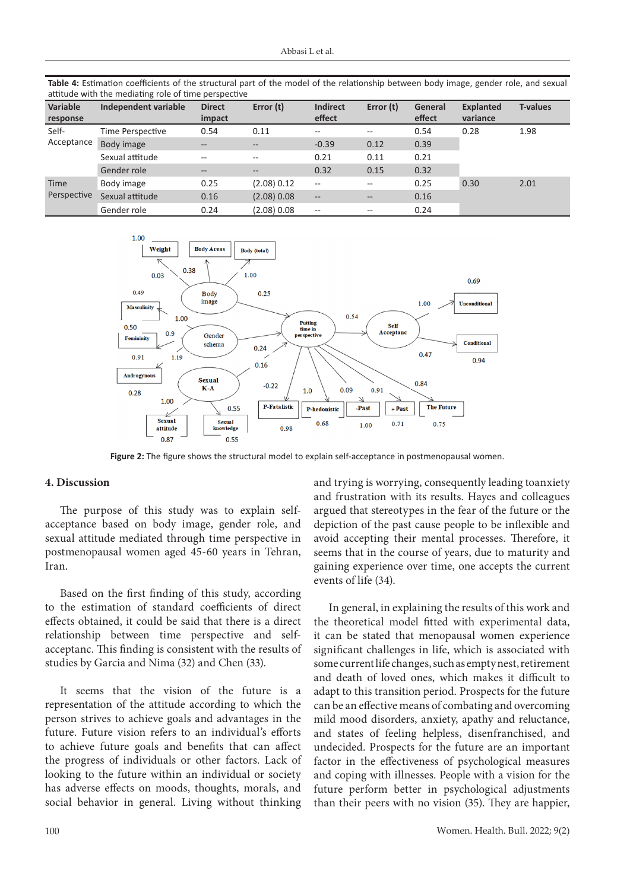**Table 4:** Estimation coefficients of the structural part of the model of the relationship between body image, gender role, and sexual

| attitude with the mediating role of time perspective |                      |                         |             |                                       |                   |                   |                              |                 |  |
|------------------------------------------------------|----------------------|-------------------------|-------------|---------------------------------------|-------------------|-------------------|------------------------------|-----------------|--|
| Variable<br>response                                 | Independent variable | <b>Direct</b><br>impact | Error (t)   | <b>Indirect</b><br>effect             | Error (t)         | General<br>effect | <b>Explanted</b><br>variance | <b>T-values</b> |  |
| Self-<br>Acceptance                                  | Time Perspective     | 0.54                    | 0.11        | $- -$                                 | $- -$             | 0.54              | 0.28                         | 1.98            |  |
|                                                      | Body image           | $\qquad \qquad -$       | $--$        | $-0.39$                               | 0.12              | 0.39              |                              |                 |  |
|                                                      | Sexual attitude      | $- -$                   | $- -$       | 0.21                                  | 0.11              | 0.21              |                              |                 |  |
|                                                      | Gender role          | $\qquad \qquad -$       | $- -$       | 0.32                                  | 0.15              | 0.32              |                              |                 |  |
| <b>Time</b><br>Perspective                           | Body image           | 0.25                    | (2.08) 0.12 | $\sim$ $\sim$                         | $- -$             | 0.25              | 0.30                         | 2.01            |  |
|                                                      | Sexual attitude      | 0.16                    | (2.08) 0.08 | $\overline{\phantom{a}}$              | $\qquad \qquad -$ | 0.16              |                              |                 |  |
|                                                      | Gender role          | 0.24                    | (2.08) 0.08 | $\hspace{0.05cm}$ – $\hspace{0.05cm}$ | $- -$             | 0.24              |                              |                 |  |

1.00 Weight **Body Areas** Body (total) 0.38  $1.00$  $0.03$  $0.69$ 



**Figure 2:** The figure shows the structural model to explain self-acceptance in postmenopausal women.

### **4. Discussion**

The purpose of this study was to explain selfacceptance based on body image, gender role, and sexual attitude mediated through time perspective in postmenopausal women aged 45-60 years in Tehran, Iran.

Based on the first finding of this study, according to the estimation of standard coefficients of direct effects obtained, it could be said that there is a direct relationship between time perspective and selfacceptanc. This finding is consistent with the results of studies by Garcia and Nima (32) and Chen (33).

It seems that the vision of the future is a representation of the attitude according to which the person strives to achieve goals and advantages in the future. Future vision refers to an individual's efforts to achieve future goals and benefits that can affect the progress of individuals or other factors. Lack of looking to the future within an individual or society has adverse effects on moods, thoughts, morals, and social behavior in general. Living without thinking and trying is worrying, consequently leading toanxiety and frustration with its results. Hayes and colleagues argued that stereotypes in the fear of the future or the depiction of the past cause people to be inflexible and avoid accepting their mental processes. Therefore, it seems that in the course of years, due to maturity and gaining experience over time, one accepts the current events of life (34).

In general, in explaining the results of this work and the theoretical model fitted with experimental data, it can be stated that menopausal women experience significant challenges in life, which is associated with some current life changes, such as empty nest, retirement and death of loved ones, which makes it difficult to adapt to this transition period. Prospects for the future can be an effective means of combating and overcoming mild mood disorders, anxiety, apathy and reluctance, and states of feeling helpless, disenfranchised, and undecided. Prospects for the future are an important factor in the effectiveness of psychological measures and coping with illnesses. People with a vision for the future perform better in psychological adjustments than their peers with no vision (35). They are happier,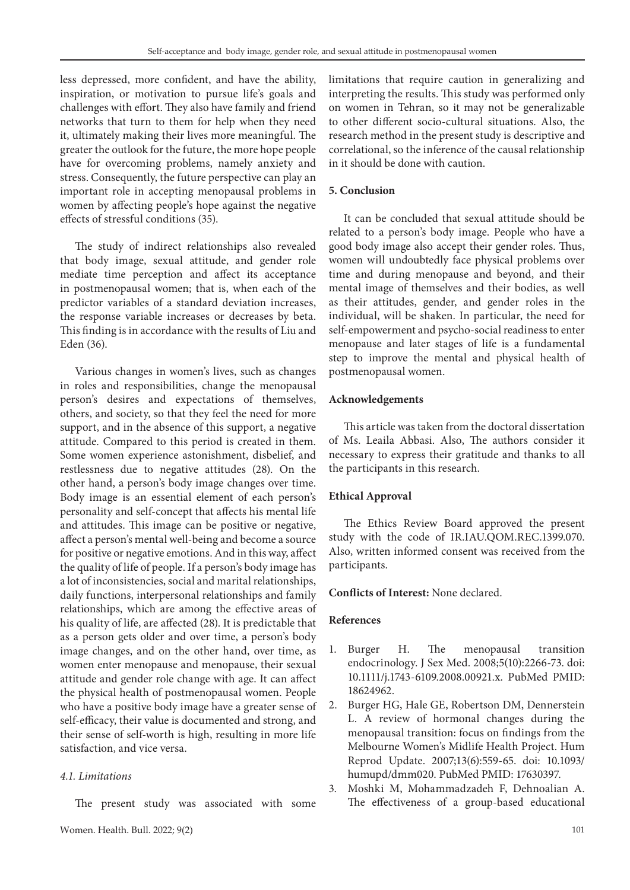less depressed, more confident, and have the ability, inspiration, or motivation to pursue life's goals and challenges with effort. They also have family and friend networks that turn to them for help when they need it, ultimately making their lives more meaningful. The greater the outlook for the future, the more hope people have for overcoming problems, namely anxiety and stress. Consequently, the future perspective can play an important role in accepting menopausal problems in women by affecting people's hope against the negative effects of stressful conditions (35).

The study of indirect relationships also revealed that body image, sexual attitude, and gender role mediate time perception and affect its acceptance in postmenopausal women; that is, when each of the predictor variables of a standard deviation increases, the response variable increases or decreases by beta. This finding is in accordance with the results of Liu and Eden (36).

Various changes in women's lives, such as changes in roles and responsibilities, change the menopausal person's desires and expectations of themselves, others, and society, so that they feel the need for more support, and in the absence of this support, a negative attitude. Compared to this period is created in them. Some women experience astonishment, disbelief, and restlessness due to negative attitudes (28). On the other hand, a person's body image changes over time. Body image is an essential element of each person's personality and self-concept that affects his mental life and attitudes. This image can be positive or negative, affect a person's mental well-being and become a source for positive or negative emotions. And in this way, affect the quality of life of people. If a person's body image has a lot of inconsistencies, social and marital relationships, daily functions, interpersonal relationships and family relationships, which are among the effective areas of his quality of life, are affected (28). It is predictable that as a person gets older and over time, a person's body image changes, and on the other hand, over time, as women enter menopause and menopause, their sexual attitude and gender role change with age. It can affect the physical health of postmenopausal women. People who have a positive body image have a greater sense of self-efficacy, their value is documented and strong, and their sense of self-worth is high, resulting in more life satisfaction, and vice versa.

## *4.1. Limitations*

The present study was associated with some

limitations that require caution in generalizing and interpreting the results. This study was performed only on women in Tehran, so it may not be generalizable to other different socio-cultural situations. Also, the research method in the present study is descriptive and correlational, so the inference of the causal relationship in it should be done with caution.

## **5. Conclusion**

It can be concluded that sexual attitude should be related to a person's body image. People who have a good body image also accept their gender roles. Thus, women will undoubtedly face physical problems over time and during menopause and beyond, and their mental image of themselves and their bodies, as well as their attitudes, gender, and gender roles in the individual, will be shaken. In particular, the need for self-empowerment and psycho-social readiness to enter menopause and later stages of life is a fundamental step to improve the mental and physical health of postmenopausal women.

## **Acknowledgements**

This article was taken from the doctoral dissertation of Ms. Leaila Abbasi. Also, The authors consider it necessary to express their gratitude and thanks to all the participants in this research.

#### **Ethical Approval**

The Ethics Review Board approved the present study with the code of IR.IAU.QOM.REC.1399.070. Also, written informed consent was received from the participants.

#### **Conflicts of Interest:** None declared.

#### **References**

- 1. Burger H. The menopausal transition endocrinology. J Sex Med. 2008;5(10):2266-73. doi: 10.1111/j.1743-6109.2008.00921.x. PubMed PMID: 18624962.
- 2. Burger HG, Hale GE, Robertson DM, Dennerstein L. A review of hormonal changes during the menopausal transition: focus on findings from the Melbourne Women's Midlife Health Project. Hum Reprod Update. 2007;13(6):559-65. doi: 10.1093/ humupd/dmm020. PubMed PMID: 17630397.
- 3. Moshki M, Mohammadzadeh F, Dehnoalian A. The effectiveness of a group-based educational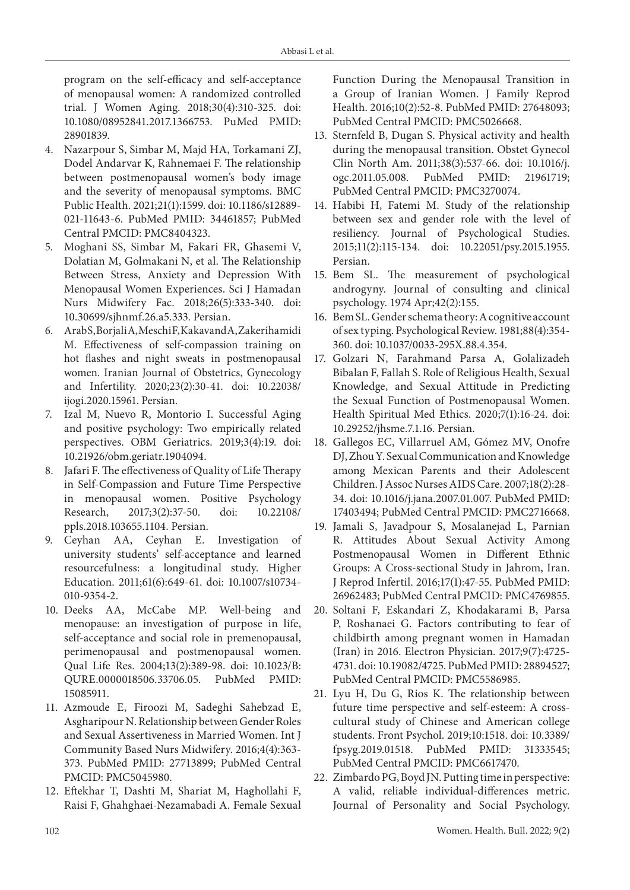program on the self-efficacy and self-acceptance of menopausal women: A randomized controlled trial. J Women Aging. 2018;30(4):310-325. doi: 10.1080/08952841.2017.1366753. PuMed PMID: 28901839.

- 4. Nazarpour S, Simbar M, Majd HA, Torkamani ZJ, Dodel Andarvar K, Rahnemaei F*.* The relationship between postmenopausal women's body image and the severity of menopausal symptoms. BMC Public Health. 2021;21(1):1599. doi: 10.1186/s12889- 021-11643-6. PubMed PMID: 34461857; PubMed Central PMCID: PMC8404323.
- 5. Moghani SS, Simbar M, Fakari FR, Ghasemi V, Dolatian M, Golmakani N, et al. The Relationship Between Stress, Anxiety and Depression With Menopausal Women Experiences. Sci J Hamadan Nurs Midwifery Fac. 2018;26(5):333-340. doi: 10.30699/sjhnmf.26.a5.333. Persian.
- 6. Arab S, Borjali A, Meschi F, Kakavand A, Zakerihamidi M. Effectiveness of self-compassion training on hot flashes and night sweats in postmenopausal women. Iranian Journal of Obstetrics, Gynecology and Infertility. 2020;23(2):30-41. doi: 10.22038/ ijogi.2020.15961. Persian.
- 7. Izal M, Nuevo R, Montorio I. Successful Aging and positive psychology: Two empirically related perspectives. OBM Geriatrics. 2019;3(4):19. doi: 10.21926/obm.geriatr.1904094.
- 8. Jafari F. The effectiveness of Quality of Life Therapy in Self-Compassion and Future Time Perspective in menopausal women. Positive Psychology Research, 2017;3(2):37-50. doi: 10.22108/ ppls.2018.103655.1104. Persian.
- 9. Ceyhan AA, Ceyhan E. Investigation of university students' self-acceptance and learned resourcefulness: a longitudinal study. Higher Education. 2011;61(6):649-61. doi: 10.1007/s10734- 010-9354-2.
- 10. Deeks AA, McCabe MP. Well-being and menopause: an investigation of purpose in life, self-acceptance and social role in premenopausal, perimenopausal and postmenopausal women. Qual Life Res. 2004;13(2):389-98. doi: 10.1023/B: QURE.0000018506.33706.05. PubMed PMID: 15085911.
- 11. Azmoude E, Firoozi M, Sadeghi Sahebzad E, Asgharipour N. Relationship between Gender Roles and Sexual Assertiveness in Married Women. Int J Community Based Nurs Midwifery. 2016;4(4):363- 373. PubMed PMID: 27713899; PubMed Central PMCID: PMC5045980.
- 12. Eftekhar T, Dashti M, Shariat M, Haghollahi F, Raisi F, Ghahghaei-Nezamabadi A. Female Sexual

Function During the Menopausal Transition in a Group of Iranian Women. J Family Reprod Health. 2016;10(2):52-8. PubMed PMID: 27648093; PubMed Central PMCID: PMC5026668.

- 13. Sternfeld B, Dugan S. Physical activity and health during the menopausal transition. Obstet Gynecol Clin North Am. 2011;38(3):537-66. doi: 10.1016/j. ogc.2011.05.008. PubMed PMID: 21961719; PubMed Central PMCID: PMC3270074.
- 14. Habibi H, Fatemi M. Study of the relationship between sex and gender role with the level of resiliency. Journal of Psychological Studies. 2015;11(2):115-134. doi: 10.22051/psy.2015.1955. Persian.
- 15. Bem SL. The measurement of psychological androgyny. Journal of consulting and clinical psychology. 1974 Apr;42(2):155.
- 16. Bem SL. Gender schema theory: A cognitive account of sex typing. Psychological Review. 1981;88(4):354- 360. doi: 10.1037/0033-295X.88.4.354.
- 17. Golzari N, Farahmand Parsa A, Golalizadeh Bibalan F, Fallah S. Role of Religious Health, Sexual Knowledge, and Sexual Attitude in Predicting the Sexual Function of Postmenopausal Women. Health Spiritual Med Ethics. 2020;7(1):16-24. doi: 10.29252/jhsme.7.1.16. Persian.
- 18. Gallegos EC, Villarruel AM, Gómez MV, Onofre DJ, Zhou Y. Sexual Communication and Knowledge among Mexican Parents and their Adolescent Children. J Assoc Nurses AIDS Care. 2007;18(2):28- 34. doi: 10.1016/j.jana.2007.01.007. PubMed PMID: 17403494; PubMed Central PMCID: PMC2716668.
- 19. Jamali S, Javadpour S, Mosalanejad L, Parnian R. Attitudes About Sexual Activity Among Postmenopausal Women in Different Ethnic Groups: A Cross-sectional Study in Jahrom, Iran. J Reprod Infertil. 2016;17(1):47-55. PubMed PMID: 26962483; PubMed Central PMCID: PMC4769855.
- 20. Soltani F, Eskandari Z, Khodakarami B, Parsa P, Roshanaei G. Factors contributing to fear of childbirth among pregnant women in Hamadan (Iran) in 2016. Electron Physician. 2017;9(7):4725- 4731. doi: 10.19082/4725. PubMed PMID: 28894527; PubMed Central PMCID: PMC5586985.
- 21. Lyu H, Du G, Rios K. The relationship between future time perspective and self-esteem: A crosscultural study of Chinese and American college students. Front Psychol. 2019;10:1518. doi: 10.3389/ fpsyg.2019.01518. PubMed PMID: 31333545; PubMed Central PMCID: PMC6617470.
- 22. Zimbardo PG, Boyd JN. Putting time in perspective: A valid, reliable individual-differences metric. Journal of Personality and Social Psychology.